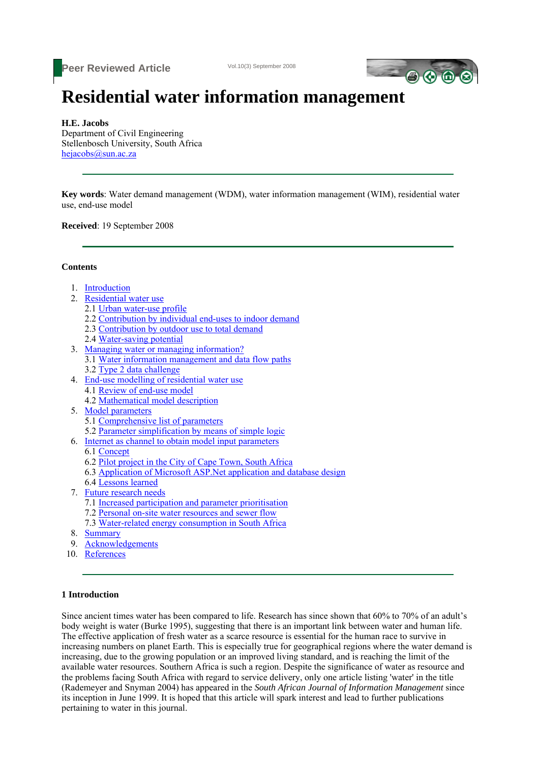

# **Residential water information management**

# **H.E. Jacobs**

Department of Civil Engineering Stellenbosch University, South Africa hejacobs@sun.ac.za

**Key words**: Water demand management (WDM), water information management (WIM), residential water use, end-use model

**Received**: 19 September 2008

#### **Contents**

- 1. Introduction
- 2. Residential water use
	- 2.1 Urban water-use profile
		- 2.2 Contribution by individual end-uses to indoor demand
		- 2.3 Contribution by outdoor use to total demand
	- 2.4 Water-saving potential
- 3. Managing water or managing information? 3.1 Water information management and data flow paths 3.2 Type 2 data challenge
- 4. End-use modelling of residential water use 4.1 Review of end-use model 4.2 Mathematical model description
- 5. Model parameters
	- 5.1 Comprehensive list of parameters
	- 5.2 Parameter simplification by means of simple logic
- 6. Internet as channel to obtain model input parameters
	- 6.1 Concept
	- 6.2 Pilot project in the City of Cape Town, South Africa
	- 6.3 Application of Microsoft ASP.Net application and database design
	- 6.4 Lessons learned
- 7. Future research needs
	- 7.1 Increased participation and parameter prioritisation
	- 7.2 Personal on-site water resources and sewer flow
	- 7.3 Water-related energy consumption in South Africa
- 8. Summary
- 9. Acknowledgements
- 10. References

# **1 Introduction**

Since ancient times water has been compared to life. Research has since shown that 60% to 70% of an adult's body weight is water (Burke 1995), suggesting that there is an important link between water and human life. The effective application of fresh water as a scarce resource is essential for the human race to survive in increasing numbers on planet Earth. This is especially true for geographical regions where the water demand is increasing, due to the growing population or an improved living standard, and is reaching the limit of the available water resources. Southern Africa is such a region. Despite the significance of water as resource and the problems facing South Africa with regard to service delivery, only one article listing 'water' in the title (Rademeyer and Snyman 2004) has appeared in the *South African Journal of Information Management* since its inception in June 1999. It is hoped that this article will spark interest and lead to further publications pertaining to water in this journal.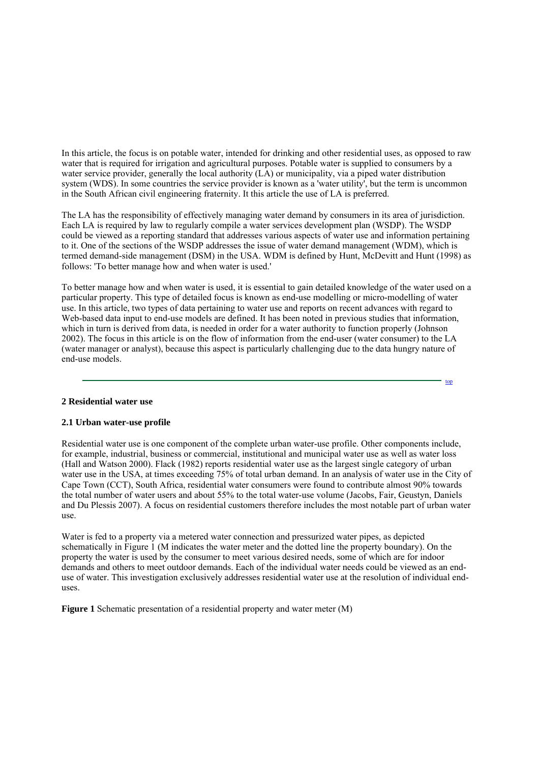In this article, the focus is on potable water, intended for drinking and other residential uses, as opposed to raw water that is required for irrigation and agricultural purposes. Potable water is supplied to consumers by a water service provider, generally the local authority (LA) or municipality, via a piped water distribution system (WDS). In some countries the service provider is known as a 'water utility', but the term is uncommon in the South African civil engineering fraternity. It this article the use of LA is preferred.

The LA has the responsibility of effectively managing water demand by consumers in its area of jurisdiction. Each LA is required by law to regularly compile a water services development plan (WSDP). The WSDP could be viewed as a reporting standard that addresses various aspects of water use and information pertaining to it. One of the sections of the WSDP addresses the issue of water demand management (WDM), which is termed demand-side management (DSM) in the USA. WDM is defined by Hunt, McDevitt and Hunt (1998) as follows: 'To better manage how and when water is used.'

To better manage how and when water is used, it is essential to gain detailed knowledge of the water used on a particular property. This type of detailed focus is known as end-use modelling or micro-modelling of water use. In this article, two types of data pertaining to water use and reports on recent advances with regard to Web-based data input to end-use models are defined. It has been noted in previous studies that information, which in turn is derived from data, is needed in order for a water authority to function properly (Johnson 2002). The focus in this article is on the flow of information from the end-user (water consumer) to the LA (water manager or analyst), because this aspect is particularly challenging due to the data hungry nature of end-use models.

top

#### **2 Residential water use**

#### **2.1 Urban water-use profile**

Residential water use is one component of the complete urban water-use profile. Other components include, for example, industrial, business or commercial, institutional and municipal water use as well as water loss (Hall and Watson 2000). Flack (1982) reports residential water use as the largest single category of urban water use in the USA, at times exceeding 75% of total urban demand. In an analysis of water use in the City of Cape Town (CCT), South Africa, residential water consumers were found to contribute almost 90% towards the total number of water users and about 55% to the total water-use volume (Jacobs, Fair, Geustyn, Daniels and Du Plessis 2007). A focus on residential customers therefore includes the most notable part of urban water use.

Water is fed to a property via a metered water connection and pressurized water pipes, as depicted schematically in Figure 1 (M indicates the water meter and the dotted line the property boundary). On the property the water is used by the consumer to meet various desired needs, some of which are for indoor demands and others to meet outdoor demands. Each of the individual water needs could be viewed as an enduse of water. This investigation exclusively addresses residential water use at the resolution of individual enduses.

**Figure 1** Schematic presentation of a residential property and water meter (M)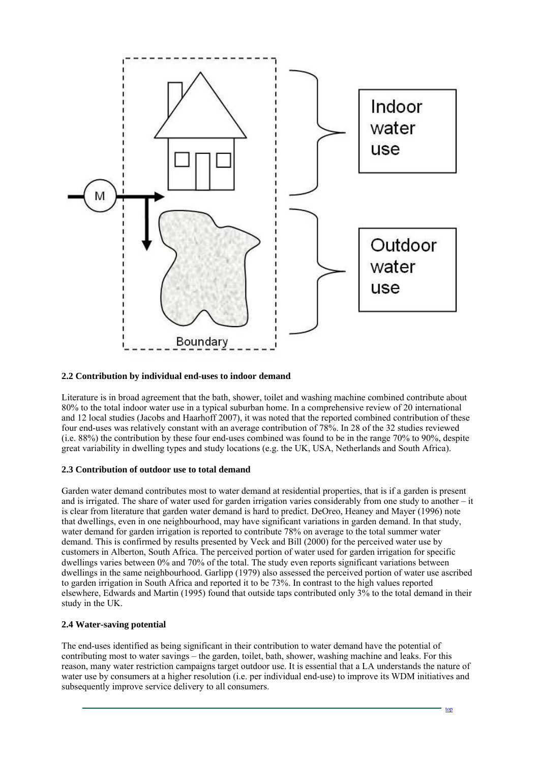

# **2.2 Contribution by individual end-uses to indoor demand**

Literature is in broad agreement that the bath, shower, toilet and washing machine combined contribute about 80% to the total indoor water use in a typical suburban home. In a comprehensive review of 20 international and 12 local studies (Jacobs and Haarhoff 2007), it was noted that the reported combined contribution of these four end-uses was relatively constant with an average contribution of 78%. In 28 of the 32 studies reviewed (i.e. 88%) the contribution by these four end-uses combined was found to be in the range 70% to 90%, despite great variability in dwelling types and study locations (e.g. the UK, USA, Netherlands and South Africa).

#### **2.3 Contribution of outdoor use to total demand**

Garden water demand contributes most to water demand at residential properties, that is if a garden is present and is irrigated. The share of water used for garden irrigation varies considerably from one study to another – it is clear from literature that garden water demand is hard to predict. DeOreo, Heaney and Mayer (1996) note that dwellings, even in one neighbourhood, may have significant variations in garden demand. In that study, water demand for garden irrigation is reported to contribute 78% on average to the total summer water demand. This is confirmed by results presented by Veck and Bill (2000) for the perceived water use by customers in Alberton, South Africa. The perceived portion of water used for garden irrigation for specific dwellings varies between 0% and 70% of the total. The study even reports significant variations between dwellings in the same neighbourhood. Garlipp (1979) also assessed the perceived portion of water use ascribed to garden irrigation in South Africa and reported it to be 73%. In contrast to the high values reported elsewhere, Edwards and Martin (1995) found that outside taps contributed only 3% to the total demand in their study in the UK.

#### **2.4 Water-saving potential**

The end-uses identified as being significant in their contribution to water demand have the potential of contributing most to water savings – the garden, toilet, bath, shower, washing machine and leaks. For this reason, many water restriction campaigns target outdoor use. It is essential that a LA understands the nature of water use by consumers at a higher resolution (i.e. per individual end-use) to improve its WDM initiatives and subsequently improve service delivery to all consumers.

top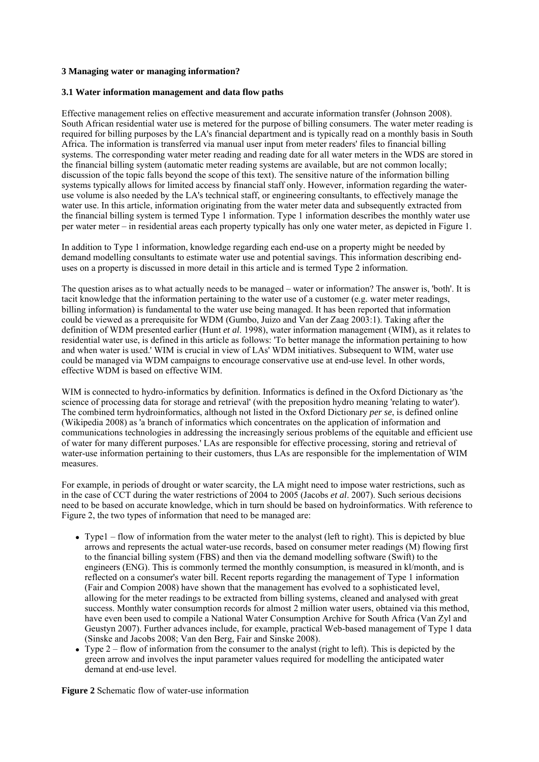# **3 Managing water or managing information?**

# **3.1 Water information management and data flow paths**

Effective management relies on effective measurement and accurate information transfer (Johnson 2008). South African residential water use is metered for the purpose of billing consumers. The water meter reading is required for billing purposes by the LA's financial department and is typically read on a monthly basis in South Africa. The information is transferred via manual user input from meter readers' files to financial billing systems. The corresponding water meter reading and reading date for all water meters in the WDS are stored in the financial billing system (automatic meter reading systems are available, but are not common locally; discussion of the topic falls beyond the scope of this text). The sensitive nature of the information billing systems typically allows for limited access by financial staff only. However, information regarding the wateruse volume is also needed by the LA's technical staff, or engineering consultants, to effectively manage the water use. In this article, information originating from the water meter data and subsequently extracted from the financial billing system is termed Type 1 information. Type 1 information describes the monthly water use per water meter – in residential areas each property typically has only one water meter, as depicted in Figure 1.

In addition to Type 1 information, knowledge regarding each end-use on a property might be needed by demand modelling consultants to estimate water use and potential savings. This information describing enduses on a property is discussed in more detail in this article and is termed Type 2 information.

The question arises as to what actually needs to be managed – water or information? The answer is, 'both'. It is tacit knowledge that the information pertaining to the water use of a customer (e.g. water meter readings, billing information) is fundamental to the water use being managed. It has been reported that information could be viewed as a prerequisite for WDM (Gumbo, Juizo and Van der Zaag 2003:1). Taking after the definition of WDM presented earlier (Hunt *et al*. 1998), water information management (WIM), as it relates to residential water use, is defined in this article as follows: 'To better manage the information pertaining to how and when water is used.' WIM is crucial in view of LAs' WDM initiatives. Subsequent to WIM, water use could be managed via WDM campaigns to encourage conservative use at end-use level. In other words, effective WDM is based on effective WIM.

WIM is connected to hydro-informatics by definition. Informatics is defined in the Oxford Dictionary as 'the science of processing data for storage and retrieval' (with the preposition hydro meaning 'relating to water'). The combined term hydroinformatics, although not listed in the Oxford Dictionary *per se*, is defined online (Wikipedia 2008) as 'a branch of informatics which concentrates on the application of information and communications technologies in addressing the increasingly serious problems of the equitable and efficient use of water for many different purposes.' LAs are responsible for effective processing, storing and retrieval of water-use information pertaining to their customers, thus LAs are responsible for the implementation of WIM measures.

For example, in periods of drought or water scarcity, the LA might need to impose water restrictions, such as in the case of CCT during the water restrictions of 2004 to 2005 (Jacobs *et al*. 2007). Such serious decisions need to be based on accurate knowledge, which in turn should be based on hydroinformatics. With reference to Figure 2, the two types of information that need to be managed are:

- Type1 flow of information from the water meter to the analyst (left to right). This is depicted by blue arrows and represents the actual water-use records, based on consumer meter readings (M) flowing first to the financial billing system (FBS) and then via the demand modelling software (Swift) to the engineers (ENG). This is commonly termed the monthly consumption, is measured in kl/month, and is reflected on a consumer's water bill. Recent reports regarding the management of Type 1 information (Fair and Compion 2008) have shown that the management has evolved to a sophisticated level, allowing for the meter readings to be extracted from billing systems, cleaned and analysed with great success. Monthly water consumption records for almost 2 million water users, obtained via this method, have even been used to compile a National Water Consumption Archive for South Africa (Van Zyl and Geustyn 2007). Further advances include, for example, practical Web-based management of Type 1 data (Sinske and Jacobs 2008; Van den Berg, Fair and Sinske 2008).
- $\bullet$  Type 2 flow of information from the consumer to the analyst (right to left). This is depicted by the green arrow and involves the input parameter values required for modelling the anticipated water demand at end-use level.

**Figure 2** Schematic flow of water-use information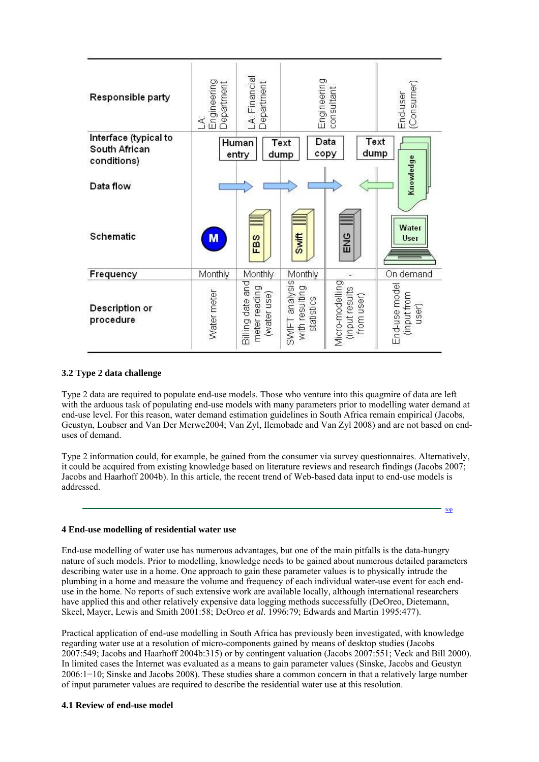

# **3.2 Type 2 data challenge**

Type 2 data are required to populate end-use models. Those who venture into this quagmire of data are left with the arduous task of populating end-use models with many parameters prior to modelling water demand at end-use level. For this reason, water demand estimation guidelines in South Africa remain empirical (Jacobs, Geustyn, Loubser and Van Der Merwe2004; Van Zyl, Ilemobade and Van Zyl 2008) and are not based on enduses of demand.

Type 2 information could, for example, be gained from the consumer via survey questionnaires. Alternatively, it could be acquired from existing knowledge based on literature reviews and research findings (Jacobs 2007; Jacobs and Haarhoff 2004b). In this article, the recent trend of Web-based data input to end-use models is addressed.

top

#### **4 End-use modelling of residential water use**

End-use modelling of water use has numerous advantages, but one of the main pitfalls is the data-hungry nature of such models. Prior to modelling, knowledge needs to be gained about numerous detailed parameters describing water use in a home. One approach to gain these parameter values is to physically intrude the plumbing in a home and measure the volume and frequency of each individual water-use event for each enduse in the home. No reports of such extensive work are available locally, although international researchers have applied this and other relatively expensive data logging methods successfully (DeOreo, Dietemann, Skeel, Mayer, Lewis and Smith 2001:58; DeOreo *et al*. 1996:79; Edwards and Martin 1995:477).

Practical application of end-use modelling in South Africa has previously been investigated, with knowledge regarding water use at a resolution of micro-components gained by means of desktop studies (Jacobs 2007:549; Jacobs and Haarhoff 2004b:315) or by contingent valuation (Jacobs 2007:551; Veck and Bill 2000). In limited cases the Internet was evaluated as a means to gain parameter values (Sinske, Jacobs and Geustyn 2006:1−10; Sinske and Jacobs 2008). These studies share a common concern in that a relatively large number of input parameter values are required to describe the residential water use at this resolution.

#### **4.1 Review of end-use model**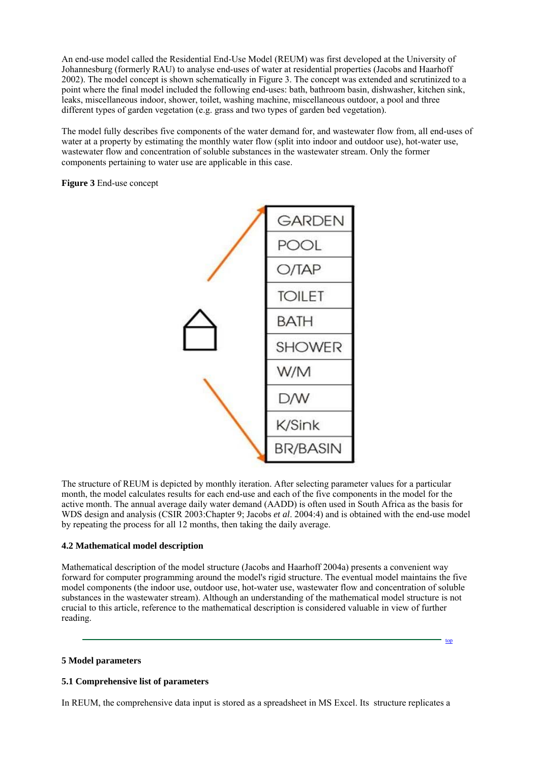An end-use model called the Residential End-Use Model (REUM) was first developed at the University of Johannesburg (formerly RAU) to analyse end-uses of water at residential properties (Jacobs and Haarhoff 2002). The model concept is shown schematically in Figure 3. The concept was extended and scrutinized to a point where the final model included the following end-uses: bath, bathroom basin, dishwasher, kitchen sink, leaks, miscellaneous indoor, shower, toilet, washing machine, miscellaneous outdoor, a pool and three different types of garden vegetation (e.g. grass and two types of garden bed vegetation).

The model fully describes five components of the water demand for, and wastewater flow from, all end-uses of water at a property by estimating the monthly water flow (split into indoor and outdoor use), hot-water use, wastewater flow and concentration of soluble substances in the wastewater stream. Only the former components pertaining to water use are applicable in this case.

**Figure 3** End-use concept



The structure of REUM is depicted by monthly iteration. After selecting parameter values for a particular month, the model calculates results for each end-use and each of the five components in the model for the active month. The annual average daily water demand (AADD) is often used in South Africa as the basis for WDS design and analysis (CSIR 2003:Chapter 9; Jacobs *et al*. 2004:4) and is obtained with the end-use model by repeating the process for all 12 months, then taking the daily average.

#### **4.2 Mathematical model description**

Mathematical description of the model structure (Jacobs and Haarhoff 2004a) presents a convenient way forward for computer programming around the model's rigid structure. The eventual model maintains the five model components (the indoor use, outdoor use, hot-water use, wastewater flow and concentration of soluble substances in the wastewater stream). Although an understanding of the mathematical model structure is not crucial to this article, reference to the mathematical description is considered valuable in view of further reading.

top

#### **5 Model parameters**

# **5.1 Comprehensive list of parameters**

In REUM, the comprehensive data input is stored as a spreadsheet in MS Excel. Its structure replicates a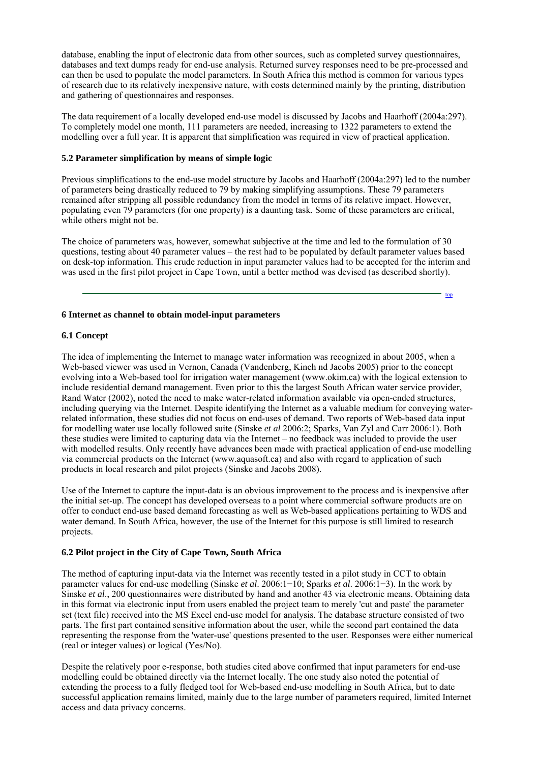database, enabling the input of electronic data from other sources, such as completed survey questionnaires, databases and text dumps ready for end-use analysis. Returned survey responses need to be pre-processed and can then be used to populate the model parameters. In South Africa this method is common for various types of research due to its relatively inexpensive nature, with costs determined mainly by the printing, distribution and gathering of questionnaires and responses.

The data requirement of a locally developed end-use model is discussed by Jacobs and Haarhoff (2004a:297). To completely model one month, 111 parameters are needed, increasing to 1322 parameters to extend the modelling over a full year. It is apparent that simplification was required in view of practical application.

# **5.2 Parameter simplification by means of simple logic**

Previous simplifications to the end-use model structure by Jacobs and Haarhoff (2004a:297) led to the number of parameters being drastically reduced to 79 by making simplifying assumptions. These 79 parameters remained after stripping all possible redundancy from the model in terms of its relative impact. However, populating even 79 parameters (for one property) is a daunting task. Some of these parameters are critical, while others might not be.

The choice of parameters was, however, somewhat subjective at the time and led to the formulation of 30 questions, testing about 40 parameter values – the rest had to be populated by default parameter values based on desk-top information. This crude reduction in input parameter values had to be accepted for the interim and was used in the first pilot project in Cape Town, until a better method was devised (as described shortly).

top

#### **6 Internet as channel to obtain model-input parameters**

# **6.1 Concept**

The idea of implementing the Internet to manage water information was recognized in about 2005, when a Web-based viewer was used in Vernon, Canada (Vandenberg, Kinch nd Jacobs 2005) prior to the concept evolving into a Web-based tool for irrigation water management (www.okim.ca) with the logical extension to include residential demand management. Even prior to this the largest South African water service provider, Rand Water (2002), noted the need to make water-related information available via open-ended structures, including querying via the Internet. Despite identifying the Internet as a valuable medium for conveying waterrelated information, these studies did not focus on end-uses of demand. Two reports of Web-based data input for modelling water use locally followed suite (Sinske *et al* 2006:2; Sparks, Van Zyl and Carr 2006:1). Both these studies were limited to capturing data via the Internet – no feedback was included to provide the user with modelled results. Only recently have advances been made with practical application of end-use modelling via commercial products on the Internet (www.aquasoft.ca) and also with regard to application of such products in local research and pilot projects (Sinske and Jacobs 2008).

Use of the Internet to capture the input-data is an obvious improvement to the process and is inexpensive after the initial set-up. The concept has developed overseas to a point where commercial software products are on offer to conduct end-use based demand forecasting as well as Web-based applications pertaining to WDS and water demand. In South Africa, however, the use of the Internet for this purpose is still limited to research projects.

# **6.2 Pilot project in the City of Cape Town, South Africa**

The method of capturing input-data via the Internet was recently tested in a pilot study in CCT to obtain parameter values for end-use modelling (Sinske *et al*. 2006:1−10; Sparks *et al*. 2006:1−3). In the work by Sinske *et al*., 200 questionnaires were distributed by hand and another 43 via electronic means. Obtaining data in this format via electronic input from users enabled the project team to merely 'cut and paste' the parameter set (text file) received into the MS Excel end-use model for analysis. The database structure consisted of two parts. The first part contained sensitive information about the user, while the second part contained the data representing the response from the 'water-use' questions presented to the user. Responses were either numerical (real or integer values) or logical (Yes/No).

Despite the relatively poor e-response, both studies cited above confirmed that input parameters for end-use modelling could be obtained directly via the Internet locally. The one study also noted the potential of extending the process to a fully fledged tool for Web-based end-use modelling in South Africa, but to date successful application remains limited, mainly due to the large number of parameters required, limited Internet access and data privacy concerns.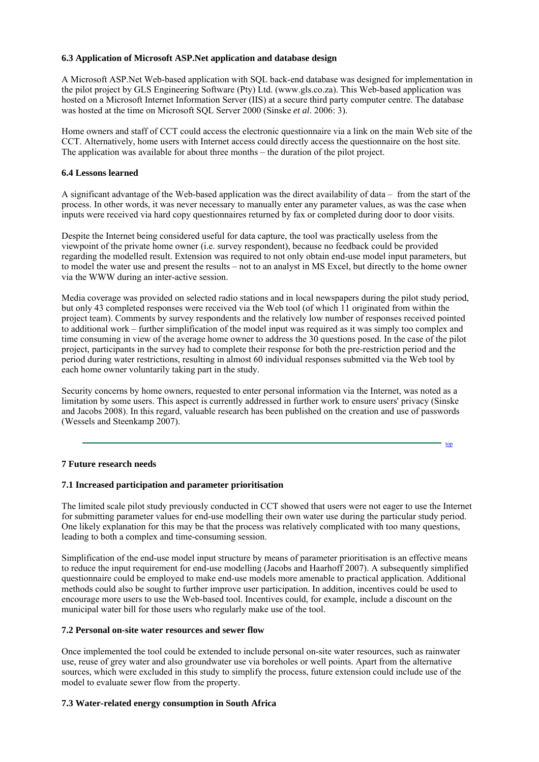# **6.3 Application of Microsoft ASP.Net application and database design**

A Microsoft ASP.Net Web-based application with SQL back-end database was designed for implementation in the pilot project by GLS Engineering Software (Pty) Ltd. (www.gls.co.za). This Web-based application was hosted on a Microsoft Internet Information Server (IIS) at a secure third party computer centre. The database was hosted at the time on Microsoft SQL Server 2000 (Sinske *et al*. 2006: 3).

Home owners and staff of CCT could access the electronic questionnaire via a link on the main Web site of the CCT. Alternatively, home users with Internet access could directly access the questionnaire on the host site. The application was available for about three months – the duration of the pilot project.

# **6.4 Lessons learned**

A significant advantage of the Web-based application was the direct availability of data – from the start of the process. In other words, it was never necessary to manually enter any parameter values, as was the case when inputs were received via hard copy questionnaires returned by fax or completed during door to door visits.

Despite the Internet being considered useful for data capture, the tool was practically useless from the viewpoint of the private home owner (i.e. survey respondent), because no feedback could be provided regarding the modelled result. Extension was required to not only obtain end-use model input parameters, but to model the water use and present the results – not to an analyst in MS Excel, but directly to the home owner via the WWW during an inter-active session.

Media coverage was provided on selected radio stations and in local newspapers during the pilot study period, but only 43 completed responses were received via the Web tool (of which 11 originated from within the project team). Comments by survey respondents and the relatively low number of responses received pointed to additional work – further simplification of the model input was required as it was simply too complex and time consuming in view of the average home owner to address the 30 questions posed. In the case of the pilot project, participants in the survey had to complete their response for both the pre-restriction period and the period during water restrictions, resulting in almost 60 individual responses submitted via the Web tool by each home owner voluntarily taking part in the study.

Security concerns by home owners, requested to enter personal information via the Internet, was noted as a limitation by some users. This aspect is currently addressed in further work to ensure users' privacy (Sinske and Jacobs 2008). In this regard, valuable research has been published on the creation and use of passwords (Wessels and Steenkamp 2007).

top

# **7 Future research needs**

# **7.1 Increased participation and parameter prioritisation**

The limited scale pilot study previously conducted in CCT showed that users were not eager to use the Internet for submitting parameter values for end-use modelling their own water use during the particular study period. One likely explanation for this may be that the process was relatively complicated with too many questions, leading to both a complex and time-consuming session.

Simplification of the end-use model input structure by means of parameter prioritisation is an effective means to reduce the input requirement for end-use modelling (Jacobs and Haarhoff 2007). A subsequently simplified questionnaire could be employed to make end-use models more amenable to practical application. Additional methods could also be sought to further improve user participation. In addition, incentives could be used to encourage more users to use the Web-based tool. Incentives could, for example, include a discount on the municipal water bill for those users who regularly make use of the tool.

# **7.2 Personal on-site water resources and sewer flow**

Once implemented the tool could be extended to include personal on-site water resources, such as rainwater use, reuse of grey water and also groundwater use via boreholes or well points. Apart from the alternative sources, which were excluded in this study to simplify the process, future extension could include use of the model to evaluate sewer flow from the property.

# **7.3 Water-related energy consumption in South Africa**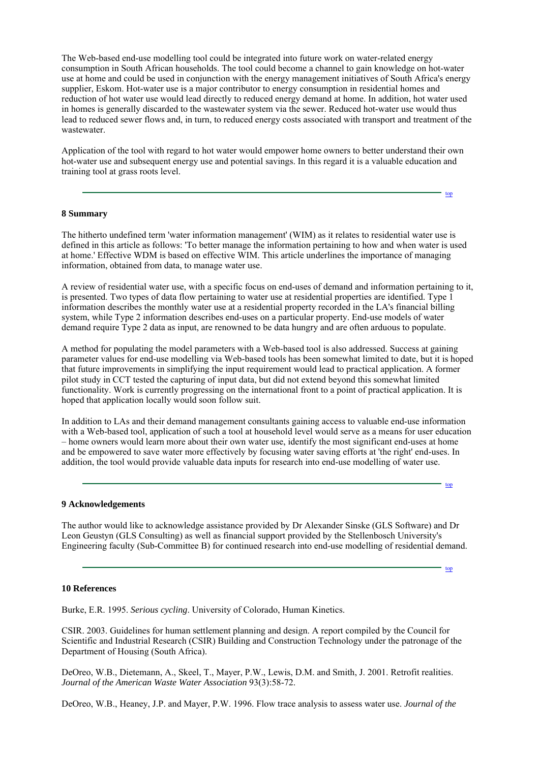The Web-based end-use modelling tool could be integrated into future work on water-related energy consumption in South African households. The tool could become a channel to gain knowledge on hot-water use at home and could be used in conjunction with the energy management initiatives of South Africa's energy supplier, Eskom. Hot-water use is a major contributor to energy consumption in residential homes and reduction of hot water use would lead directly to reduced energy demand at home. In addition, hot water used in homes is generally discarded to the wastewater system via the sewer. Reduced hot-water use would thus lead to reduced sewer flows and, in turn, to reduced energy costs associated with transport and treatment of the wastewater.

Application of the tool with regard to hot water would empower home owners to better understand their own hot-water use and subsequent energy use and potential savings. In this regard it is a valuable education and training tool at grass roots level.

top

top

top

#### **8 Summary**

The hitherto undefined term 'water information management' (WIM) as it relates to residential water use is defined in this article as follows: 'To better manage the information pertaining to how and when water is used at home.' Effective WDM is based on effective WIM. This article underlines the importance of managing information, obtained from data, to manage water use.

A review of residential water use, with a specific focus on end-uses of demand and information pertaining to it, is presented. Two types of data flow pertaining to water use at residential properties are identified. Type 1 information describes the monthly water use at a residential property recorded in the LA's financial billing system, while Type 2 information describes end-uses on a particular property. End-use models of water demand require Type 2 data as input, are renowned to be data hungry and are often arduous to populate.

A method for populating the model parameters with a Web-based tool is also addressed. Success at gaining parameter values for end-use modelling via Web-based tools has been somewhat limited to date, but it is hoped that future improvements in simplifying the input requirement would lead to practical application. A former pilot study in CCT tested the capturing of input data, but did not extend beyond this somewhat limited functionality. Work is currently progressing on the international front to a point of practical application. It is hoped that application locally would soon follow suit.

In addition to LAs and their demand management consultants gaining access to valuable end-use information with a Web-based tool, application of such a tool at household level would serve as a means for user education – home owners would learn more about their own water use, identify the most significant end-uses at home and be empowered to save water more effectively by focusing water saving efforts at 'the right' end-uses. In addition, the tool would provide valuable data inputs for research into end-use modelling of water use.

#### **9 Acknowledgements**

The author would like to acknowledge assistance provided by Dr Alexander Sinske (GLS Software) and Dr Leon Geustyn (GLS Consulting) as well as financial support provided by the Stellenbosch University's Engineering faculty (Sub-Committee B) for continued research into end-use modelling of residential demand.

#### **10 References**

Burke, E.R. 1995. *Serious cycling*. University of Colorado, Human Kinetics.

CSIR. 2003. Guidelines for human settlement planning and design. A report compiled by the Council for Scientific and Industrial Research (CSIR) Building and Construction Technology under the patronage of the Department of Housing (South Africa).

DeOreo, W.B., Dietemann, A., Skeel, T., Mayer, P.W., Lewis, D.M. and Smith, J. 2001. Retrofit realities. *Journal of the American Waste Water Association* 93(3):58-72.

DeOreo, W.B., Heaney, J.P. and Mayer, P.W. 1996. Flow trace analysis to assess water use. *Journal of the*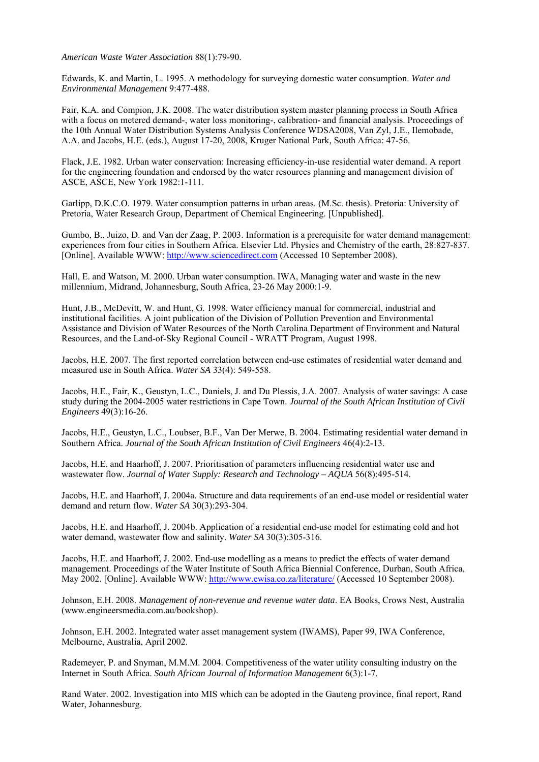*American Waste Water Association* 88(1):79-90.

Edwards, K. and Martin, L. 1995. A methodology for surveying domestic water consumption. *Water and Environmental Management* 9:477-488.

Fair, K.A. and Compion, J.K. 2008. The water distribution system master planning process in South Africa with a focus on metered demand-, water loss monitoring-, calibration- and financial analysis. Proceedings of the 10th Annual Water Distribution Systems Analysis Conference WDSA2008, Van Zyl, J.E., Ilemobade, A.A. and Jacobs, H.E. (eds.), August 17-20, 2008, Kruger National Park, South Africa: 47-56.

Flack, J.E. 1982. Urban water conservation: Increasing efficiency-in-use residential water demand. A report for the engineering foundation and endorsed by the water resources planning and management division of ASCE, ASCE, New York 1982:1-111.

Garlipp, D.K.C.O. 1979. Water consumption patterns in urban areas. (M.Sc. thesis). Pretoria: University of Pretoria, Water Research Group, Department of Chemical Engineering. [Unpublished].

Gumbo, B., Juizo, D. and Van der Zaag, P. 2003. Information is a prerequisite for water demand management: experiences from four cities in Southern Africa. Elsevier Ltd. Physics and Chemistry of the earth, 28:827-837. [Online]. Available WWW: http://www.sciencedirect.com (Accessed 10 September 2008).

Hall, E. and Watson, M. 2000. Urban water consumption. IWA, Managing water and waste in the new millennium, Midrand, Johannesburg, South Africa, 23-26 May 2000:1-9.

Hunt, J.B., McDevitt, W. and Hunt, G. 1998. Water efficiency manual for commercial, industrial and institutional facilities. A joint publication of the Division of Pollution Prevention and Environmental Assistance and Division of Water Resources of the North Carolina Department of Environment and Natural Resources, and the Land-of-Sky Regional Council - WRATT Program, August 1998.

Jacobs, H.E. 2007. The first reported correlation between end-use estimates of residential water demand and measured use in South Africa. *Water SA* 33(4): 549-558.

Jacobs, H.E., Fair, K., Geustyn, L.C., Daniels, J. and Du Plessis, J.A. 2007. Analysis of water savings: A case study during the 2004-2005 water restrictions in Cape Town. *Journal of the South African Institution of Civil Engineers* 49(3):16-26.

Jacobs, H.E., Geustyn, L.C., Loubser, B.F., Van Der Merwe, B. 2004. Estimating residential water demand in Southern Africa. *Journal of the South African Institution of Civil Engineers* 46(4):2-13.

Jacobs, H.E. and Haarhoff, J. 2007. Prioritisation of parameters influencing residential water use and wastewater flow. *Journal of Water Supply: Research and Technology – AQUA* 56(8):495-514.

Jacobs, H.E. and Haarhoff, J. 2004a. Structure and data requirements of an end-use model or residential water demand and return flow. *Water SA* 30(3):293-304.

Jacobs, H.E. and Haarhoff, J. 2004b. Application of a residential end-use model for estimating cold and hot water demand, wastewater flow and salinity. *Water SA* 30(3):305-316.

Jacobs, H.E. and Haarhoff, J. 2002. End-use modelling as a means to predict the effects of water demand management. Proceedings of the Water Institute of South Africa Biennial Conference, Durban, South Africa, May 2002. [Online]. Available WWW: http://www.ewisa.co.za/literature/ (Accessed 10 September 2008).

Johnson, E.H. 2008. *Management of non-revenue and revenue water data*. EA Books, Crows Nest, Australia (www.engineersmedia.com.au/bookshop).

Johnson, E.H. 2002. Integrated water asset management system (IWAMS), Paper 99, IWA Conference, Melbourne, Australia, April 2002.

Rademeyer, P. and Snyman, M.M.M. 2004. Competitiveness of the water utility consulting industry on the Internet in South Africa. *South African Journal of Information Management* 6(3):1-7.

Rand Water. 2002. Investigation into MIS which can be adopted in the Gauteng province, final report, Rand Water, Johannesburg.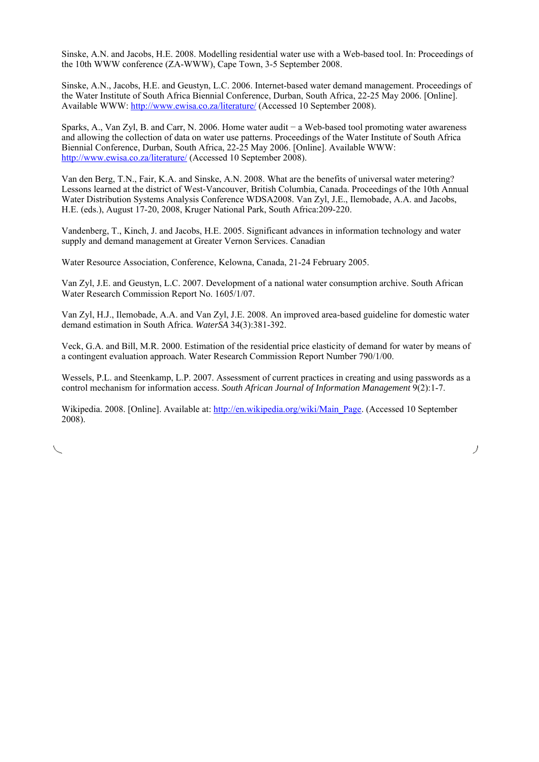Sinske, A.N. and Jacobs, H.E. 2008. Modelling residential water use with a Web-based tool. In: Proceedings of the 10th WWW conference (ZA-WWW), Cape Town, 3-5 September 2008.

Sinske, A.N., Jacobs, H.E. and Geustyn, L.C. 2006. Internet-based water demand management. Proceedings of the Water Institute of South Africa Biennial Conference, Durban, South Africa, 22-25 May 2006. [Online]. Available WWW: http://www.ewisa.co.za/literature/ (Accessed 10 September 2008).

Sparks, A., Van Zyl, B. and Carr, N. 2006. Home water audit − a Web-based tool promoting water awareness and allowing the collection of data on water use patterns. Proceedings of the Water Institute of South Africa Biennial Conference, Durban, South Africa, 22-25 May 2006. [Online]. Available WWW: http://www.ewisa.co.za/literature/ (Accessed 10 September 2008).

Van den Berg, T.N., Fair, K.A. and Sinske, A.N. 2008. What are the benefits of universal water metering? Lessons learned at the district of West-Vancouver, British Columbia, Canada. Proceedings of the 10th Annual Water Distribution Systems Analysis Conference WDSA2008. Van Zyl, J.E., Ilemobade, A.A. and Jacobs, H.E. (eds.), August 17-20, 2008, Kruger National Park, South Africa:209-220.

Vandenberg, T., Kinch, J. and Jacobs, H.E. 2005. Significant advances in information technology and water supply and demand management at Greater Vernon Services. Canadian

Water Resource Association, Conference, Kelowna, Canada, 21-24 February 2005.

Van Zyl, J.E. and Geustyn, L.C. 2007. Development of a national water consumption archive. South African Water Research Commission Report No. 1605/1/07.

Van Zyl, H.J., Ilemobade, A.A. and Van Zyl, J.E. 2008. An improved area-based guideline for domestic water demand estimation in South Africa. *WaterSA* 34(3):381-392.

Veck, G.A. and Bill, M.R. 2000. Estimation of the residential price elasticity of demand for water by means of a contingent evaluation approach. Water Research Commission Report Number 790/1/00.

Wessels, P.L. and Steenkamp, L.P. 2007. Assessment of current practices in creating and using passwords as a control mechanism for information access. *South African Journal of Information Management* 9(2):1-7.

Wikipedia. 2008. [Online]. Available at: http://en.wikipedia.org/wiki/Main\_Page. (Accessed 10 September 2008).

Л